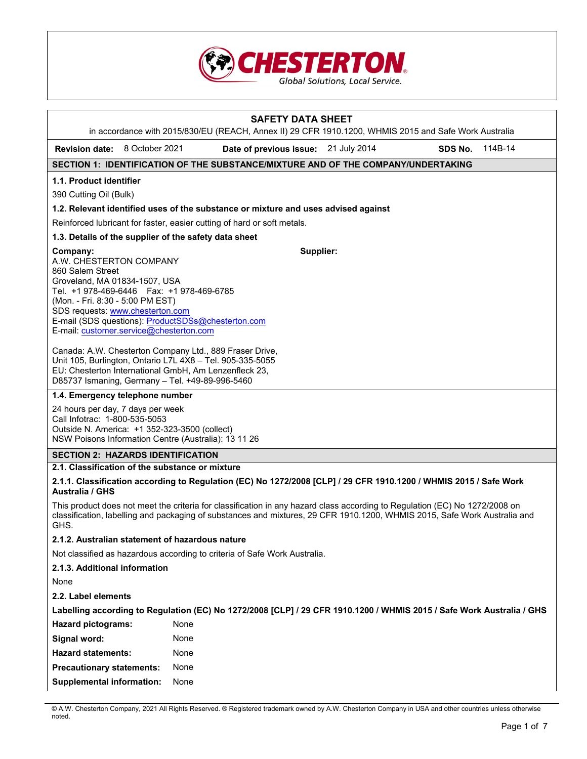

# **SAFETY DATA SHEET**  in accordance with 2015/830/EU (REACH, Annex II) 29 CFR 1910.1200, WHMIS 2015 and Safe Work Australia **Revision date:** 8 October 2021 **Date of previous issue:** 21 July 2014 **SDS No.** 114B-14 **SECTION 1: IDENTIFICATION OF THE SUBSTANCE/MIXTURE AND OF THE COMPANY/UNDERTAKING 1.1. Product identifier**  390 Cutting Oil (Bulk) **1.2. Relevant identified uses of the substance or mixture and uses advised against**  Reinforced lubricant for faster, easier cutting of hard or soft metals. **1.3. Details of the supplier of the safety data sheet Company:** A.W. CHESTERTON COMPANY 860 Salem Street Groveland, MA 01834-1507, USA Tel. +1 978-469-6446 Fax: +1 978-469-6785 (Mon. - Fri. 8:30 - 5:00 PM EST) SDS requests: www.chesterton.com E-mail (SDS questions): ProductSDSs@chesterton.com E-mail: customer.service@chesterton.com Canada: A.W. Chesterton Company Ltd., 889 Fraser Drive, Unit 105, Burlington, Ontario L7L 4X8 – Tel. 905-335-5055 EU: Chesterton International GmbH, Am Lenzenfleck 23, D85737 Ismaning, Germany – Tel. +49-89-996-5460 **Supplier: 1.4. Emergency telephone number**  24 hours per day, 7 days per week Call Infotrac: 1-800-535-5053 Outside N. America: +1 352-323-3500 (collect) NSW Poisons Information Centre (Australia): 13 11 26 **SECTION 2: HAZARDS IDENTIFICATION 2.1. Classification of the substance or mixture 2.1.1. Classification according to Regulation (EC) No 1272/2008 [CLP] / 29 CFR 1910.1200 / WHMIS 2015 / Safe Work Australia / GHS**  This product does not meet the criteria for classification in any hazard class according to Regulation (EC) No 1272/2008 on classification, labelling and packaging of substances and mixtures, 29 CFR 1910.1200, WHMIS 2015, Safe Work Australia and GHS. **2.1.2. Australian statement of hazardous nature**  Not classified as hazardous according to criteria of Safe Work Australia. **2.1.3. Additional information**  None **2.2. Label elements Labelling according to Regulation (EC) No 1272/2008 [CLP] / 29 CFR 1910.1200 / WHMIS 2015 / Safe Work Australia / GHS Hazard pictograms:** None

| Signal word:                     | None |
|----------------------------------|------|
| <b>Hazard statements:</b>        | None |
| <b>Precautionary statements:</b> | None |
| Supplemental information:        | None |

© A.W. Chesterton Company, 2021 All Rights Reserved. ® Registered trademark owned by A.W. Chesterton Company in USA and other countries unless otherwise noted.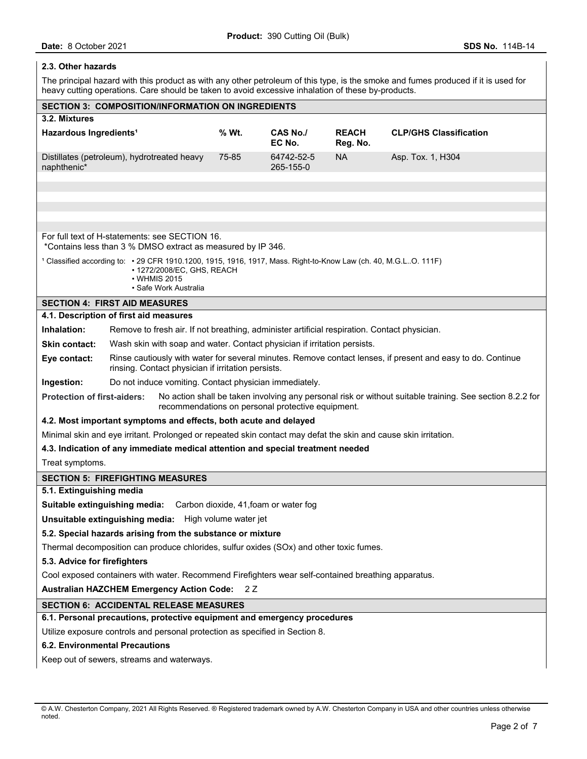## **2.3. Other hazards**

The principal hazard with this product as with any other petroleum of this type, is the smoke and fumes produced if it is used for heavy cutting operations. Care should be taken to avoid excessive inhalation of these by-products.

| 3.2. Mixtures                                                                                       | <b>SECTION 3: COMPOSITION/INFORMATION ON INGREDIENTS</b>                                                                                                                                            |       |                           |                          |                                                                                                             |
|-----------------------------------------------------------------------------------------------------|-----------------------------------------------------------------------------------------------------------------------------------------------------------------------------------------------------|-------|---------------------------|--------------------------|-------------------------------------------------------------------------------------------------------------|
|                                                                                                     |                                                                                                                                                                                                     |       |                           |                          | <b>CLP/GHS Classification</b>                                                                               |
| Hazardous Ingredients <sup>1</sup>                                                                  |                                                                                                                                                                                                     | % Wt. | <b>CAS No./</b><br>EC No. | <b>REACH</b><br>Reg. No. |                                                                                                             |
| naphthenic*                                                                                         | Distillates (petroleum), hydrotreated heavy                                                                                                                                                         | 75-85 | 64742-52-5<br>265-155-0   | <b>NA</b>                | Asp. Tox. 1, H304                                                                                           |
|                                                                                                     |                                                                                                                                                                                                     |       |                           |                          |                                                                                                             |
|                                                                                                     |                                                                                                                                                                                                     |       |                           |                          |                                                                                                             |
|                                                                                                     |                                                                                                                                                                                                     |       |                           |                          |                                                                                                             |
|                                                                                                     | For full text of H-statements: see SECTION 16.<br>*Contains less than 3 % DMSO extract as measured by IP 346.                                                                                       |       |                           |                          |                                                                                                             |
|                                                                                                     | 1 Classified according to: • 29 CFR 1910.1200, 1915, 1916, 1917, Mass. Right-to-Know Law (ch. 40, M.G.LO. 111F)                                                                                     |       |                           |                          |                                                                                                             |
|                                                                                                     | • 1272/2008/EC, GHS, REACH<br>• WHMIS 2015<br>• Safe Work Australia                                                                                                                                 |       |                           |                          |                                                                                                             |
|                                                                                                     | <b>SECTION 4: FIRST AID MEASURES</b>                                                                                                                                                                |       |                           |                          |                                                                                                             |
|                                                                                                     | 4.1. Description of first aid measures                                                                                                                                                              |       |                           |                          |                                                                                                             |
| Inhalation:                                                                                         | Remove to fresh air. If not breathing, administer artificial respiration. Contact physician.                                                                                                        |       |                           |                          |                                                                                                             |
| <b>Skin contact:</b>                                                                                | Wash skin with soap and water. Contact physician if irritation persists.                                                                                                                            |       |                           |                          |                                                                                                             |
| Eye contact:                                                                                        | rinsing. Contact physician if irritation persists.                                                                                                                                                  |       |                           |                          | Rinse cautiously with water for several minutes. Remove contact lenses, if present and easy to do. Continue |
| Ingestion:                                                                                          | Do not induce vomiting. Contact physician immediately.                                                                                                                                              |       |                           |                          |                                                                                                             |
|                                                                                                     | No action shall be taken involving any personal risk or without suitable training. See section 8.2.2 for<br><b>Protection of first-aiders:</b><br>recommendations on personal protective equipment. |       |                           |                          |                                                                                                             |
|                                                                                                     | 4.2. Most important symptoms and effects, both acute and delayed                                                                                                                                    |       |                           |                          |                                                                                                             |
|                                                                                                     | Minimal skin and eye irritant. Prolonged or repeated skin contact may defat the skin and cause skin irritation.                                                                                     |       |                           |                          |                                                                                                             |
| 4.3. Indication of any immediate medical attention and special treatment needed                     |                                                                                                                                                                                                     |       |                           |                          |                                                                                                             |
| Treat symptoms.                                                                                     |                                                                                                                                                                                                     |       |                           |                          |                                                                                                             |
|                                                                                                     | <b>SECTION 5: FIREFIGHTING MEASURES</b>                                                                                                                                                             |       |                           |                          |                                                                                                             |
| 5.1. Extinguishing media                                                                            |                                                                                                                                                                                                     |       |                           |                          |                                                                                                             |
|                                                                                                     | <b>Suitable extinguishing media:</b> Carbon dioxide, 41, foam or water fog                                                                                                                          |       |                           |                          |                                                                                                             |
|                                                                                                     | Unsuitable extinguishing media: High volume water jet                                                                                                                                               |       |                           |                          |                                                                                                             |
|                                                                                                     | 5.2. Special hazards arising from the substance or mixture                                                                                                                                          |       |                           |                          |                                                                                                             |
|                                                                                                     | Thermal decomposition can produce chlorides, sulfur oxides (SOx) and other toxic fumes.                                                                                                             |       |                           |                          |                                                                                                             |
| 5.3. Advice for firefighters                                                                        |                                                                                                                                                                                                     |       |                           |                          |                                                                                                             |
| Cool exposed containers with water. Recommend Firefighters wear self-contained breathing apparatus. |                                                                                                                                                                                                     |       |                           |                          |                                                                                                             |
| <b>Australian HAZCHEM Emergency Action Code:</b><br>2 Z                                             |                                                                                                                                                                                                     |       |                           |                          |                                                                                                             |
| <b>SECTION 6: ACCIDENTAL RELEASE MEASURES</b>                                                       |                                                                                                                                                                                                     |       |                           |                          |                                                                                                             |
|                                                                                                     | 6.1. Personal precautions, protective equipment and emergency procedures                                                                                                                            |       |                           |                          |                                                                                                             |
| Utilize exposure controls and personal protection as specified in Section 8.                        |                                                                                                                                                                                                     |       |                           |                          |                                                                                                             |
| <b>6.2. Environmental Precautions</b>                                                               |                                                                                                                                                                                                     |       |                           |                          |                                                                                                             |
| Keep out of sewers, streams and waterways.                                                          |                                                                                                                                                                                                     |       |                           |                          |                                                                                                             |

<sup>©</sup> A.W. Chesterton Company, 2021 All Rights Reserved. ® Registered trademark owned by A.W. Chesterton Company in USA and other countries unless otherwise noted.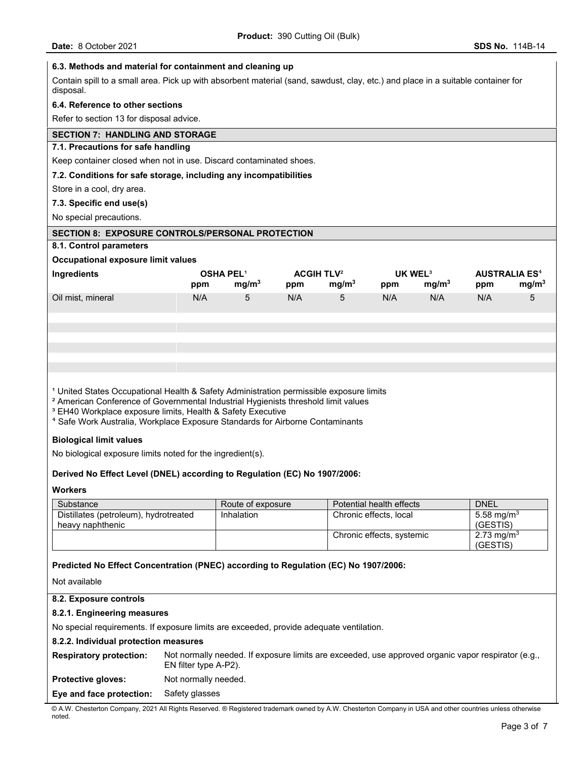## **6.3. Methods and material for containment and cleaning up**

Contain spill to a small area. Pick up with absorbent material (sand, sawdust, clay, etc.) and place in a suitable container for disposal.

#### **6.4. Reference to other sections**

Refer to section 13 for disposal advice.

## **SECTION 7: HANDLING AND STORAGE 7.1. Precautions for safe handling**

Keep container closed when not in use. Discard contaminated shoes.

## **7.2. Conditions for safe storage, including any incompatibilities**

Store in a cool, dry area.

#### **7.3. Specific end use(s)**

No special precautions.

## **SECTION 8: EXPOSURE CONTROLS/PERSONAL PROTECTION**

## **8.1. Control parameters**

#### **Occupational exposure limit values**

| Ingredients       | <b>OSHA PEL1</b> |                   | <b>ACGIH TLV<sup>2</sup></b> |                   | UK WEL $3$ |                   | <b>AUSTRALIA ES<sup>4</sup></b> |                   |
|-------------------|------------------|-------------------|------------------------------|-------------------|------------|-------------------|---------------------------------|-------------------|
|                   | ppm              | ma/m <sup>3</sup> | ppm                          | ma/m <sup>3</sup> | ppm        | ma/m <sup>3</sup> | ppm                             | mg/m <sup>3</sup> |
| Oil mist, mineral | N/A              |                   | N/A                          |                   | N/A        | N/A               | N/A                             | 5                 |

<sup>1</sup> United States Occupational Health & Safety Administration permissible exposure limits

<sup>2</sup> American Conference of Governmental Industrial Hygienists threshold limit values

<sup>3</sup> EH40 Workplace exposure limits, Health & Safety Executive

<sup>4</sup> Safe Work Australia, Workplace Exposure Standards for Airborne Contaminants

## **Biological limit values**

No biological exposure limits noted for the ingredient(s).

## **Derived No Effect Level (DNEL) according to Regulation (EC) No 1907/2006:**

## **Workers**

| Substance                                                 | Route of exposure | Potential health effects  | <b>DNEL</b>                        |
|-----------------------------------------------------------|-------------------|---------------------------|------------------------------------|
| Distillates (petroleum), hydrotreated<br>heavy naphthenic | Inhalation        | Chronic effects, local    | 5.58 mg/m <sup>3</sup><br>(GESTIS) |
|                                                           |                   | Chronic effects, systemic | 2.73 mg/m <sup>3</sup><br>(GESTIS) |

**Predicted No Effect Concentration (PNEC) according to Regulation (EC) No 1907/2006:**

Not available

## **8.2. Exposure controls**

## **8.2.1. Engineering measures**

No special requirements. If exposure limits are exceeded, provide adequate ventilation.

**8.2.2. Individual protection measures** 

| <b>Respiratory protection:</b> | Not normally needed. If exposure limits are exceeded, use approved organic vapor respirator (e.g.,<br>EN filter type A-P2). |
|--------------------------------|-----------------------------------------------------------------------------------------------------------------------------|
| <b>Protective gloves:</b>      | Not normally needed.                                                                                                        |
| Eye and face protection:       | Safety glasses                                                                                                              |

© A.W. Chesterton Company, 2021 All Rights Reserved. ® Registered trademark owned by A.W. Chesterton Company in USA and other countries unless otherwise noted.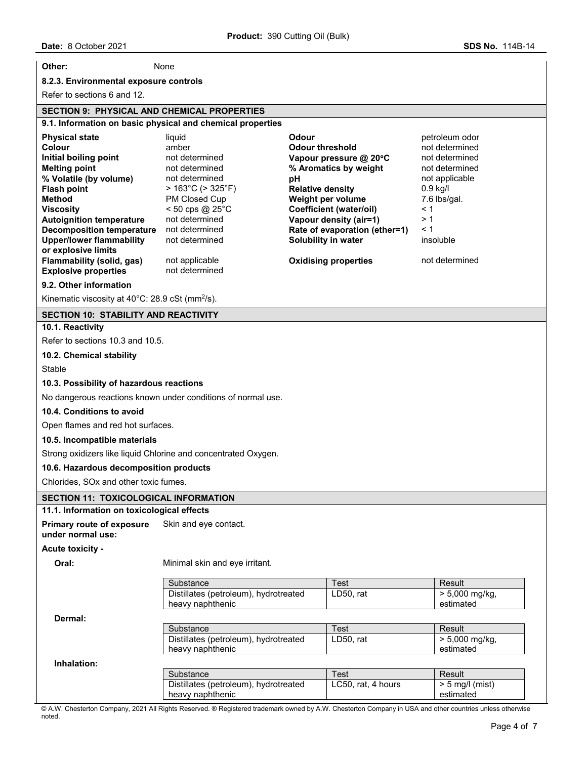**Other:** None

#### **8.2.3. Environmental exposure controls**

Refer to sections 6 and 12.

# **SECTION 9: PHYSICAL AND CHEMICAL PROPERTIES**

## **9.1. Information on basic physical and chemical properties**

| <b>Physical state</b>                                                 | liquid                               | Odour                         | petroleum odor |
|-----------------------------------------------------------------------|--------------------------------------|-------------------------------|----------------|
| Colour                                                                | amber                                | <b>Odour threshold</b>        | not determined |
| Initial boiling point                                                 | not determined                       | Vapour pressure @ 20°C        | not determined |
| <b>Melting point</b>                                                  | not determined                       | % Aromatics by weight         | not determined |
| % Volatile (by volume)                                                | not determined                       | рH                            | not applicable |
| <b>Flash point</b>                                                    | $>163^{\circ}$ C ( $>325^{\circ}$ F) | <b>Relative density</b>       | 0.9 kg/l       |
| Method                                                                | PM Closed Cup                        | Weight per volume             | $7.6$ lbs/qal. |
| <b>Viscosity</b>                                                      | $< 50$ cps @ 25 $^{\circ}$ C         | Coefficient (water/oil)       | $\leq 1$       |
| <b>Autoignition temperature</b>                                       | not determined                       | Vapour density (air=1)        | > 1            |
| Decomposition temperature                                             | not determined                       | Rate of evaporation (ether=1) | < 1            |
| <b>Upper/lower flammability</b>                                       | not determined                       | Solubility in water           | insoluble      |
| or explosive limits                                                   |                                      |                               |                |
| Flammability (solid, gas)                                             | not applicable                       | <b>Oxidising properties</b>   | not determined |
| <b>Explosive properties</b>                                           | not determined                       |                               |                |
| 9.2. Other information                                                |                                      |                               |                |
| Kinematic viscosity at $40^{\circ}$ C: 28.9 cSt (mm <sup>2</sup> /s). |                                      |                               |                |

**SECTION 10: STABILITY AND REACTIVITY** 

## **10.1. Reactivity**

Refer to sections 10.3 and 10.5.

#### **10.2. Chemical stability**

Stable

#### **10.3. Possibility of hazardous reactions**

No dangerous reactions known under conditions of normal use.

## **10.4. Conditions to avoid**

Open flames and red hot surfaces.

#### **10.5. Incompatible materials**

Strong oxidizers like liquid Chlorine and concentrated Oxygen.

heavy naphthenic

#### **10.6. Hazardous decomposition products**

| Chlorides, SOx and other toxic fumes.          |                                                           |                    |                               |
|------------------------------------------------|-----------------------------------------------------------|--------------------|-------------------------------|
| <b>SECTION 11: TOXICOLOGICAL INFORMATION</b>   |                                                           |                    |                               |
| 11.1. Information on toxicological effects     |                                                           |                    |                               |
| Primary route of exposure<br>under normal use: | Skin and eye contact.                                     |                    |                               |
| <b>Acute toxicity -</b>                        |                                                           |                    |                               |
| Oral:                                          | Minimal skin and eye irritant.                            |                    |                               |
|                                                | Substance                                                 | Test               | Result                        |
|                                                | Distillates (petroleum), hydrotreated<br>heavy naphthenic | LD50, rat          | $> 5,000$ mg/kg,<br>estimated |
| Dermal:                                        |                                                           |                    |                               |
|                                                | Substance                                                 | Test               | Result                        |
|                                                | Distillates (petroleum), hydrotreated<br>heavy naphthenic | LD50, rat          | $> 5,000$ mg/kg,<br>estimated |
| Inhalation:                                    |                                                           |                    |                               |
|                                                | Substance                                                 | Test               | Result                        |
|                                                | Distillates (petroleum), hydrotreated                     | LC50, rat, 4 hours | $> 5$ mg/l (mist)             |

© A.W. Chesterton Company, 2021 All Rights Reserved. ® Registered trademark owned by A.W. Chesterton Company in USA and other countries unless otherwise noted.

estimated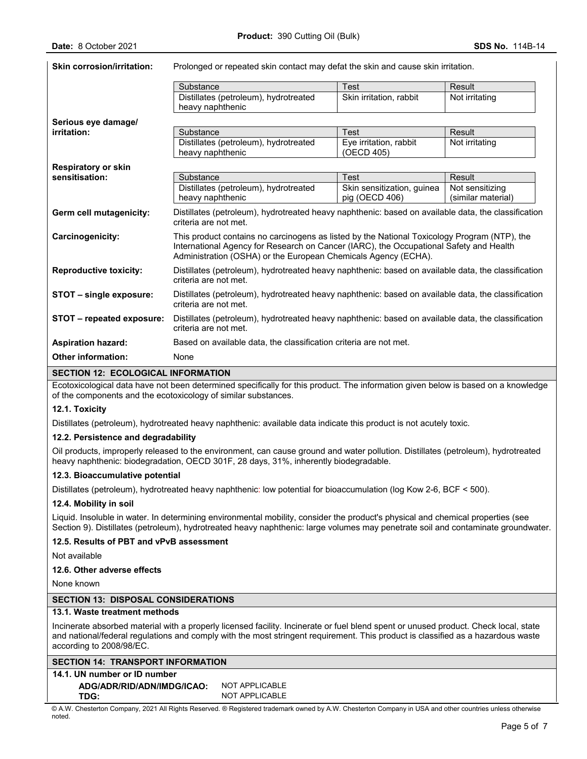| <b>Skin corrosion/irritation:</b> | Prolonged or repeated skin contact may defat the skin and cause skin irritation.                                                                                                                                                                         |                                      |                    |
|-----------------------------------|----------------------------------------------------------------------------------------------------------------------------------------------------------------------------------------------------------------------------------------------------------|--------------------------------------|--------------------|
|                                   | Substance                                                                                                                                                                                                                                                | <b>Test</b>                          | <b>Result</b>      |
|                                   | Distillates (petroleum), hydrotreated                                                                                                                                                                                                                    | Skin irritation, rabbit              | Not irritating     |
|                                   | heavy naphthenic                                                                                                                                                                                                                                         |                                      |                    |
| Serious eye damage/               |                                                                                                                                                                                                                                                          |                                      |                    |
| irritation:                       | Substance                                                                                                                                                                                                                                                | <b>Test</b>                          | Result             |
|                                   | Distillates (petroleum), hydrotreated<br>heavy naphthenic                                                                                                                                                                                                | Eye irritation, rabbit<br>(OECD 405) | Not irritating     |
| <b>Respiratory or skin</b>        |                                                                                                                                                                                                                                                          |                                      |                    |
| sensitisation:                    | Substance                                                                                                                                                                                                                                                | Test                                 | Result             |
|                                   | Distillates (petroleum), hydrotreated                                                                                                                                                                                                                    | Skin sensitization, guinea           | Not sensitizing    |
|                                   | heavy naphthenic                                                                                                                                                                                                                                         | pig (OECD 406)                       | (similar material) |
| Germ cell mutagenicity:           | Distillates (petroleum), hydrotreated heavy naphthenic: based on available data, the classification<br>criteria are not met.                                                                                                                             |                                      |                    |
| Carcinogenicity:                  | This product contains no carcinogens as listed by the National Toxicology Program (NTP), the<br>International Agency for Research on Cancer (IARC), the Occupational Safety and Health<br>Administration (OSHA) or the European Chemicals Agency (ECHA). |                                      |                    |
| <b>Reproductive toxicity:</b>     | Distillates (petroleum), hydrotreated heavy naphthenic: based on available data, the classification<br>criteria are not met.                                                                                                                             |                                      |                    |
| STOT - single exposure:           | Distillates (petroleum), hydrotreated heavy naphthenic: based on available data, the classification<br>criteria are not met.                                                                                                                             |                                      |                    |
| STOT - repeated exposure:         | Distillates (petroleum), hydrotreated heavy naphthenic: based on available data, the classification<br>criteria are not met.                                                                                                                             |                                      |                    |
| <b>Aspiration hazard:</b>         | Based on available data, the classification criteria are not met.                                                                                                                                                                                        |                                      |                    |
| <b>Other information:</b>         | None                                                                                                                                                                                                                                                     |                                      |                    |

#### **SECTION 12: ECOLOGICAL INFORMATION**

Ecotoxicological data have not been determined specifically for this product. The information given below is based on a knowledge of the components and the ecotoxicology of similar substances.

## **12.1. Toxicity**

Distillates (petroleum), hydrotreated heavy naphthenic: available data indicate this product is not acutely toxic.

#### **12.2. Persistence and degradability**

Oil products, improperly released to the environment, can cause ground and water pollution. Distillates (petroleum), hydrotreated heavy naphthenic: biodegradation, OECD 301F, 28 days, 31%, inherently biodegradable.

#### **12.3. Bioaccumulative potential**

Distillates (petroleum), hydrotreated heavy naphthenic: low potential for bioaccumulation (log Kow 2-6, BCF < 500).

#### **12.4. Mobility in soil**

Liquid. Insoluble in water. In determining environmental mobility, consider the product's physical and chemical properties (see Section 9). Distillates (petroleum), hydrotreated heavy naphthenic: large volumes may penetrate soil and contaminate groundwater.

#### **12.5. Results of PBT and vPvB assessment**

Not available

## **12.6. Other adverse effects**

None known

## **SECTION 13: DISPOSAL CONSIDERATIONS**

## **13.1. Waste treatment methods**

Incinerate absorbed material with a properly licensed facility. Incinerate or fuel blend spent or unused product. Check local, state and national/federal regulations and comply with the most stringent requirement. This product is classified as a hazardous waste according to 2008/98/EC.

#### **SECTION 14: TRANSPORT INFORMATION**

## **14.1. UN number or ID number**

**ADG/ADR/RID/ADN/IMDG/ICAO:** NOT APPLICABLE **TDG:** NOT APPLICABLE

© A.W. Chesterton Company, 2021 All Rights Reserved. ® Registered trademark owned by A.W. Chesterton Company in USA and other countries unless otherwise noted.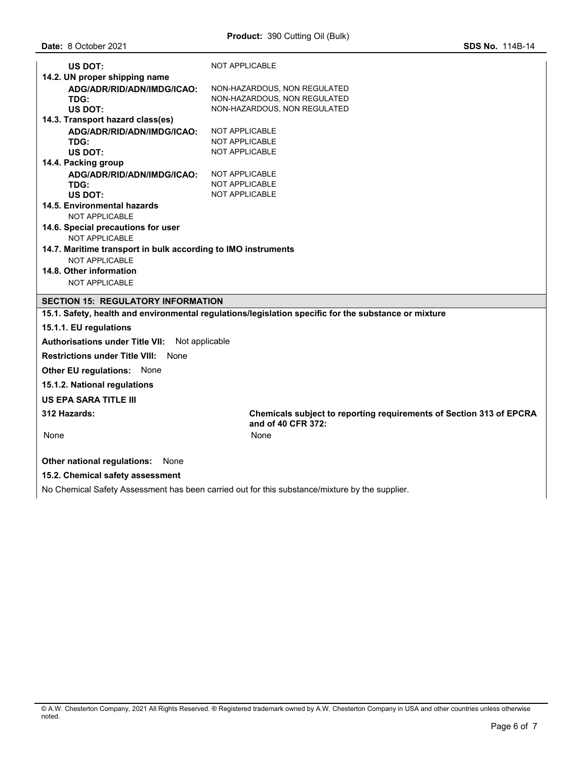| <b>US DOT:</b>                                                | <b>NOT APPLICABLE</b>                                                                                |
|---------------------------------------------------------------|------------------------------------------------------------------------------------------------------|
| 14.2. UN proper shipping name                                 |                                                                                                      |
| ADG/ADR/RID/ADN/IMDG/ICAO:                                    | NON-HAZARDOUS, NON REGULATED                                                                         |
| TDG:                                                          | NON-HAZARDOUS, NON REGULATED                                                                         |
| <b>US DOT:</b>                                                | NON-HAZARDOUS, NON REGULATED                                                                         |
| 14.3. Transport hazard class(es)                              |                                                                                                      |
| ADG/ADR/RID/ADN/IMDG/ICAO:<br>TDG:                            | NOT APPLICABLE<br>NOT APPLICABLE                                                                     |
| <b>US DOT:</b>                                                | <b>NOT APPLICABLE</b>                                                                                |
| 14.4. Packing group                                           |                                                                                                      |
| ADG/ADR/RID/ADN/IMDG/ICAO:                                    | <b>NOT APPLICABLE</b>                                                                                |
| TDG:                                                          | <b>NOT APPLICABLE</b>                                                                                |
| <b>US DOT:</b>                                                | <b>NOT APPLICABLE</b>                                                                                |
| 14.5. Environmental hazards                                   |                                                                                                      |
| <b>NOT APPLICABLE</b>                                         |                                                                                                      |
| 14.6. Special precautions for user                            |                                                                                                      |
| <b>NOT APPLICABLE</b>                                         |                                                                                                      |
| 14.7. Maritime transport in bulk according to IMO instruments |                                                                                                      |
| <b>NOT APPLICABLE</b>                                         |                                                                                                      |
| 14.8. Other information                                       |                                                                                                      |
| <b>NOT APPLICABLE</b>                                         |                                                                                                      |
| <b>SECTION 15: REGULATORY INFORMATION</b>                     |                                                                                                      |
|                                                               | 15.1. Safety, health and environmental regulations/legislation specific for the substance or mixture |
| 15.1.1. EU regulations                                        |                                                                                                      |
| <b>Authorisations under Title VII:</b><br>Not applicable      |                                                                                                      |
| <b>Restrictions under Title VIII: None</b>                    |                                                                                                      |
| <b>Other EU regulations:</b> None                             |                                                                                                      |
| 15.1.2. National regulations                                  |                                                                                                      |
| <b>US EPA SARA TITLE III</b>                                  |                                                                                                      |
| 312 Hazards:                                                  | Chemicals subject to reporting requirements of Section 313 of EPCRA<br>and of 40 CFR 372:            |
| None                                                          | None                                                                                                 |
|                                                               |                                                                                                      |
| Other national regulations:<br>None                           |                                                                                                      |
| 15.2. Chemical safety assessment                              |                                                                                                      |

No Chemical Safety Assessment has been carried out for this substance/mixture by the supplier.